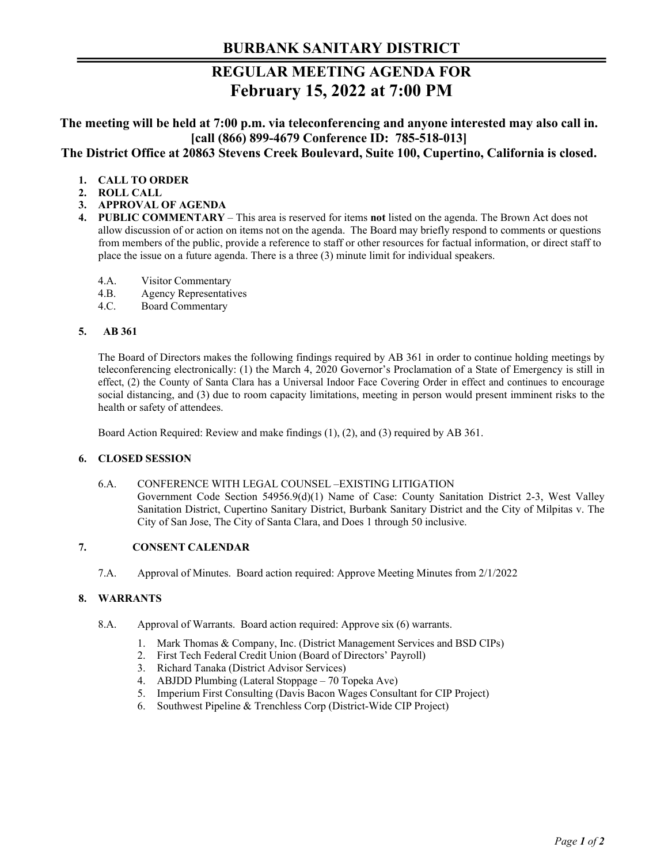# **BURBANK SANITARY DISTRICT**

# **REGULAR MEETING AGENDA FOR February 15, 2022 at 7:00 PM**

**The meeting will be held at 7:00 p.m. via teleconferencing and anyone interested may also call in. [call (866) 899-4679 Conference ID: 785-518-013] The District Office at 20863 Stevens Creek Boulevard, Suite 100, Cupertino, California is closed.**

# **1. CALL TO ORDER**

- **2. ROLL CALL**
- **3. APPROVAL OF AGENDA**
- **4. PUBLIC COMMENTARY**  This area is reserved for items **not** listed on the agenda. The Brown Act does not allow discussion of or action on items not on the agenda. The Board may briefly respond to comments or questions from members of the public, provide a reference to staff or other resources for factual information, or direct staff to place the issue on a future agenda. There is a three (3) minute limit for individual speakers.
	- 4.A. Visitor Commentary
	- 4.B. Agency Representatives
	- 4.C. Board Commentary

#### **5. AB 361**

The Board of Directors makes the following findings required by AB 361 in order to continue holding meetings by teleconferencing electronically: (1) the March 4, 2020 Governor's Proclamation of a State of Emergency is still in effect, (2) the County of Santa Clara has a Universal Indoor Face Covering Order in effect and continues to encourage social distancing, and (3) due to room capacity limitations, meeting in person would present imminent risks to the health or safety of attendees.

Board Action Required: Review and make findings (1), (2), and (3) required by AB 361.

# **6. CLOSED SESSION**

6.A. CONFERENCE WITH LEGAL COUNSEL –EXISTING LITIGATION Government Code Section 54956.9(d)(1) Name of Case: County Sanitation District 2-3, West Valley Sanitation District, Cupertino Sanitary District, Burbank Sanitary District and the City of Milpitas v. The City of San Jose, The City of Santa Clara, and Does 1 through 50 inclusive.

# **7. CONSENT CALENDAR**

7.A. Approval of Minutes. Board action required: Approve Meeting Minutes from 2/1/2022

# **8. WARRANTS**

- 8.A. Approval of Warrants. Board action required: Approve six (6) warrants.
	- 1. Mark Thomas & Company, Inc. (District Management Services and BSD CIPs)
	- 2. First Tech Federal Credit Union (Board of Directors' Payroll)
	- 3. Richard Tanaka (District Advisor Services)
	- 4. ABJDD Plumbing (Lateral Stoppage 70 Topeka Ave)
	- 5. Imperium First Consulting (Davis Bacon Wages Consultant for CIP Project)
	- 6. Southwest Pipeline & Trenchless Corp (District-Wide CIP Project)